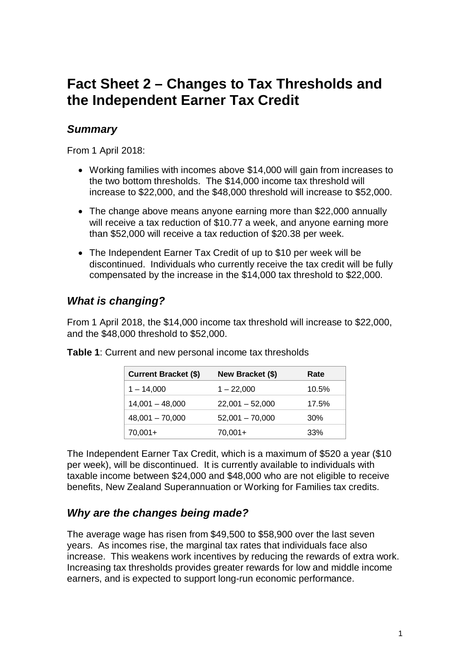# **Fact Sheet 2 – Changes to Tax Thresholds and the Independent Earner Tax Credit**

### *Summary*

From 1 April 2018:

- Working families with incomes above \$14,000 will gain from increases to the two bottom thresholds. The \$14,000 income tax threshold will increase to \$22,000, and the \$48,000 threshold will increase to \$52,000.
- The change above means anyone earning more than \$22,000 annually will receive a tax reduction of \$10.77 a week, and anyone earning more than \$52,000 will receive a tax reduction of \$20.38 per week.
- The Independent Earner Tax Credit of up to \$10 per week will be discontinued. Individuals who currently receive the tax credit will be fully compensated by the increase in the \$14,000 tax threshold to \$22,000.

# *What is changing?*

From 1 April 2018, the \$14,000 income tax threshold will increase to \$22,000, and the \$48,000 threshold to \$52,000.

| <b>Current Bracket (\$)</b> | New Bracket (\$)  | Rate  |
|-----------------------------|-------------------|-------|
| $1 - 14,000$                | $1 - 22,000$      | 10.5% |
| $14,001 - 48,000$           | $22,001 - 52,000$ | 17.5% |
| $48,001 - 70,000$           | $52,001 - 70,000$ | 30%   |
| 70,001+                     | $70,001+$         | 33%   |

**Table 1**: Current and new personal income tax thresholds

The Independent Earner Tax Credit, which is a maximum of \$520 a year (\$10 per week), will be discontinued. It is currently available to individuals with taxable income between \$24,000 and \$48,000 who are not eligible to receive benefits, New Zealand Superannuation or Working for Families tax credits.

## *Why are the changes being made?*

The average wage has risen from \$49,500 to \$58,900 over the last seven years. As incomes rise, the marginal tax rates that individuals face also increase. This weakens work incentives by reducing the rewards of extra work. Increasing tax thresholds provides greater rewards for low and middle income earners, and is expected to support long-run economic performance.